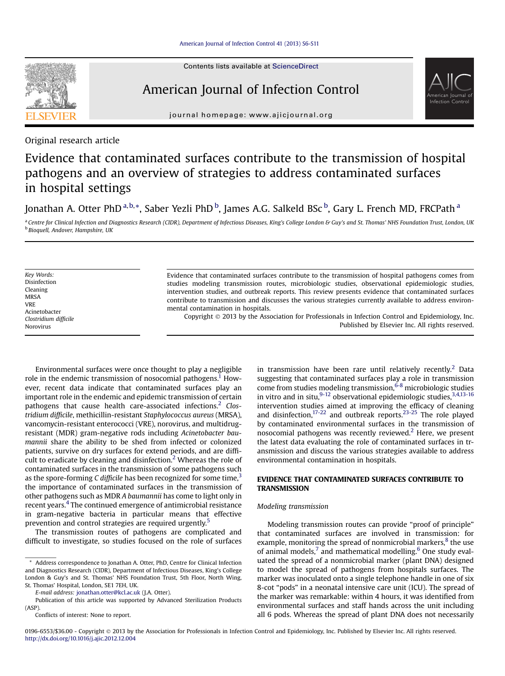

Contents lists available at ScienceDirect

# American Journal of Infection Control



journal homepage: [www.ajicjournal.org](http://www.ajicjournal.org)

Original research article

# Evidence that contaminated surfaces contribute to the transmission of hospital pathogens and an overview of strategies to address contaminated surfaces in hospital settings

## Jonathan A. Otter PhD <sup>a, b, \*</sup>, Saber Yezli PhD <sup>b</sup>, James A.G. Salkeld BSc <sup>b</sup>, Gary L. French MD, FRCPath <sup>a</sup>

a Centre for Clinical Infection and Diagnostics Research (CIDR), Department of Infectious Diseases, King's College London & Guy's and St. Thomas' NHS Foundation Trust, London, UK <sup>b</sup> Bioquell, Andover, Hampshire, UK

Key Words: Disinfection Cleaning MRSA VRE Acinetobacter Clostridium difficile Norovirus

Evidence that contaminated surfaces contribute to the transmission of hospital pathogens comes from studies modeling transmission routes, microbiologic studies, observational epidemiologic studies, intervention studies, and outbreak reports. This review presents evidence that contaminated surfaces contribute to transmission and discusses the various strategies currently available to address environmental contamination in hospitals.

Copyright 2013 by the Association for Professionals in Infection Control and Epidemiology, Inc. Published by Elsevier Inc. All rights reserved.

Environmental surfaces were once thought to play a negligible role in the endemic transmission of nosocomial pathogens.<sup>1</sup> However, recent data indicate that contaminated surfaces play an important role in the endemic and epidemic transmission of certain pathogens that cause health care-associated infections.<sup>[2](#page-3-0)</sup> Clostridium difficile, methicillin-resistant Staphylococcus aureus (MRSA), vancomycin-resistant enterococci (VRE), norovirus, and multidrugresistant (MDR) gram-negative rods including Acinetobacter baumannii share the ability to be shed from infected or colonized patients, survive on dry surfaces for extend periods, and are diffi-cult to eradicate by cleaning and disinfection.<sup>[2](#page-3-0)</sup> Whereas the role of contaminated surfaces in the transmission of some pathogens such as the spore-forming C difficile has been recognized for some time.<sup>[3](#page-3-0)</sup> the importance of contaminated surfaces in the transmission of other pathogens such as MDR A baumannii has come to light only in recent years.<sup>[4](#page-3-0)</sup> The continued emergence of antimicrobial resistance in gram-negative bacteria in particular means that effective prevention and control strategies are required urgently.<sup>[5](#page-4-0)</sup>

The transmission routes of pathogens are complicated and difficult to investigate, so studies focused on the role of surfaces

E-mail address: [jonathan.otter@kcl.ac.uk](mailto:jonathan.otter@kcl.ac.uk) (J.A. Otter).

in transmission have been rare until relatively recently.<sup>[2](#page-3-0)</sup> Data suggesting that contaminated surfaces play a role in transmission come from studies modeling transmission,  $6-8$  microbiologic studies in vitro and in situ, $9-12$  observational epidemiologic studies,  $3,4,13-16$ intervention studies aimed at improving the efficacy of cleaning and disinfection,<sup>17-22</sup> and outbreak reports.<sup>[23-25](#page-4-0)</sup> The role played by contaminated environmental surfaces in the transmission of nosocomial pathogens was recently reviewed.<sup>[2](#page-3-0)</sup> Here, we present the latest data evaluating the role of contaminated surfaces in transmission and discuss the various strategies available to address environmental contamination in hospitals.

# EVIDENCE THAT CONTAMINATED SURFACES CONTRIBUTE TO

## Modeling transmission

Modeling transmission routes can provide "proof of principle" that contaminated surfaces are involved in transmission: for example, monitoring the spread of nonmicrobial markers,<sup>[8](#page-4-0)</sup> the use of animal models,<sup>[7](#page-4-0)</sup> and mathematical modelling.<sup>6</sup> One study evaluated the spread of a nonmicrobial marker (plant DNA) designed to model the spread of pathogens from hospitals surfaces. The marker was inoculated onto a single telephone handle in one of six 8-cot "pods" in a neonatal intensive care unit (ICU). The spread of the marker was remarkable: within 4 hours, it was identified from environmental surfaces and staff hands across the unit including all 6 pods. Whereas the spread of plant DNA does not necessarily

<sup>\*</sup> Address correspondence to Jonathan A. Otter, PhD, Centre for Clinical Infection and Diagnostics Research (CIDR), Department of Infectious Diseases, King's College London & Guy's and St. Thomas' NHS Foundation Trust, 5th Floor, North Wing, St. Thomas' Hospital, London, SE1 7EH, UK.

Publication of this article was supported by Advanced Sterilization Products (ASP).

Conflicts of interest: None to report.

<sup>0196-6553/\$36.00 -</sup> Copyright © 2013 by the Association for Professionals in Infection Control and Epidemiology, Inc. Published by Elsevier Inc. All rights reserved. <http://dx.doi.org/10.1016/j.ajic.2012.12.004>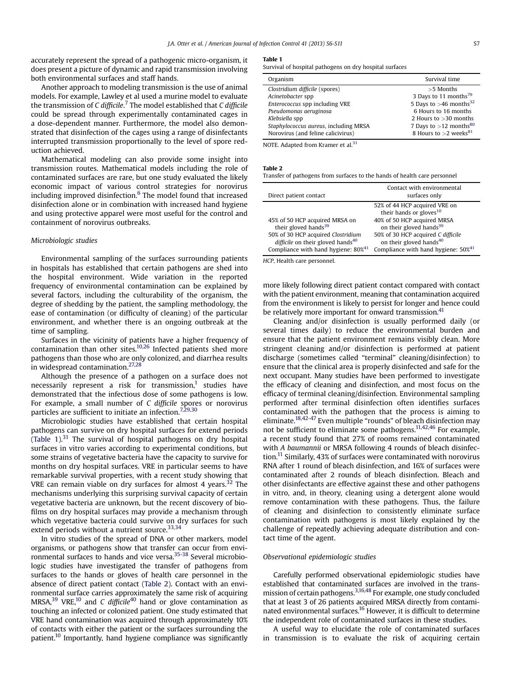<span id="page-1-0"></span>accurately represent the spread of a pathogenic micro-organism, it does present a picture of dynamic and rapid transmission involving both environmental surfaces and staff hands.

Another approach to modeling transmission is the use of animal models. For example, Lawley et al used a murine model to evaluate the transmission of C difficile.<sup>[7](#page-4-0)</sup> The model established that C difficile could be spread through experimentally contaminated cages in a dose-dependent manner. Furthermore, the model also demonstrated that disinfection of the cages using a range of disinfectants interrupted transmission proportionally to the level of spore reduction achieved.

Mathematical modeling can also provide some insight into transmission routes. Mathematical models including the role of contaminated surfaces are rare, but one study evaluated the likely economic impact of various control strategies for norovirus including improved disinfection.<sup>6</sup> The model found that increased disinfection alone or in combination with increased hand hygiene and using protective apparel were most useful for the control and containment of norovirus outbreaks.

### Microbiologic studies

Environmental sampling of the surfaces surrounding patients in hospitals has established that certain pathogens are shed into the hospital environment. Wide variation in the reported frequency of environmental contamination can be explained by several factors, including the culturability of the organism, the degree of shedding by the patient, the sampling methodology, the ease of contamination (or difficulty of cleaning) of the particular environment, and whether there is an ongoing outbreak at the time of sampling.

Surfaces in the vicinity of patients have a higher frequency of contamination than other sites[.10,26](#page-4-0) Infected patients shed more pathogens than those who are only colonized, and diarrhea results in widespread contamination.[27,28](#page-4-0)

Although the presence of a pathogen on a surface does not necessarily represent a risk for transmission, $<sup>1</sup>$  $<sup>1</sup>$  $<sup>1</sup>$  studies have</sup> demonstrated that the infectious dose of some pathogens is low. For example, a small number of C difficile spores or norovirus particles are sufficient to initiate an infection.<sup>7,29,30</sup>

Microbiologic studies have established that certain hospital pathogens can survive on dry hospital surfaces for extend periods (Table 1).<sup>[31](#page-4-0)</sup> The survival of hospital pathogens on dry hospital surfaces in vitro varies according to experimental conditions, but some strains of vegetative bacteria have the capacity to survive for months on dry hospital surfaces. VRE in particular seems to have remarkable survival properties, with a recent study showing that VRE can remain viable on dry surfaces for almost 4 years.<sup>[32](#page-4-0)</sup> The mechanisms underlying this surprising survival capacity of certain vegetative bacteria are unknown, but the recent discovery of biofilms on dry hospital surfaces may provide a mechanism through which vegetative bacteria could survive on dry surfaces for such extend periods without a nutrient source.<sup>[33,34](#page-4-0)</sup>

In vitro studies of the spread of DNA or other markers, model organisms, or pathogens show that transfer can occur from envi-ronmental surfaces to hands and vice versa.<sup>[35-38](#page-4-0)</sup> Several microbiologic studies have investigated the transfer of pathogens from surfaces to the hands or gloves of health care personnel in the absence of direct patient contact (Table 2). Contact with an environmental surface carries approximately the same risk of acquiring MRSA, $39$  VRE, $10$  and C difficile<sup>[40](#page-4-0)</sup> hand or glove contamination as touching an infected or colonized patient. One study estimated that VRE hand contamination was acquired through approximately 10% of contacts with either the patient or the surfaces surrounding the patient.<sup>10</sup> Importantly, hand hygiene compliance was significantly

#### Table 1

Survival of hospital pathogens on dry hospital surfaces

| Organism                              | Survival time                        |
|---------------------------------------|--------------------------------------|
| Clostridium difficile (spores)        | $>5$ Months                          |
| Acinetobacter spp                     | 3 Days to 11 months <sup>79</sup>    |
| Enterococcus spp including VRE        | 5 Days to $>46$ months <sup>32</sup> |
| Pseudomonas aeruginosa                | 6 Hours to 16 months                 |
| Klebsiella spp                        | 2 Hours to $>30$ months              |
| Staphylococcus aureus, including MRSA | 7 Days to $>12$ months <sup>80</sup> |
| Norovirus (and feline calicivirus)    | 8 Hours to $>$ 2 weeks <sup>81</sup> |

NOTE. Adapted from Kramer et al.<sup>[31](#page-4-0)</sup>

#### Table 2

------ –<br>Transfer of pathogens from surfaces to the hands of health care personnel

| Direct patient contact                                                                                                                                                                                 | Contact with environmental<br>surfaces only                                                                                                                                                                                                                          |
|--------------------------------------------------------------------------------------------------------------------------------------------------------------------------------------------------------|----------------------------------------------------------------------------------------------------------------------------------------------------------------------------------------------------------------------------------------------------------------------|
| 45% of 50 HCP acquired MRSA on<br>their gloved hands <sup>39</sup><br>50% of 30 HCP acquired Clostridium<br>difficile on their gloved hands <sup>40</sup><br>Compliance with hand hygiene: $80\%^{41}$ | 52% of 44 HCP acquired VRE on<br>their hands or gloves $10$<br>40% of 50 HCP acquired MRSA<br>on their gloved hands <sup>39</sup><br>50% of 30 HCP acquired C difficile<br>on their gloved hands <sup>40</sup><br>Compliance with hand hygiene: $50\%$ <sup>41</sup> |

HCP, Health care personnel.

more likely following direct patient contact compared with contact with the patient environment, meaning that contamination acquired from the environment is likely to persist for longer and hence could be relatively more important for onward transmission.<sup>41</sup>

Cleaning and/or disinfection is usually performed daily (or several times daily) to reduce the environmental burden and ensure that the patient environment remains visibly clean. More stringent cleaning and/or disinfection is performed at patient discharge (sometimes called "terminal" cleaning/disinfection) to ensure that the clinical area is properly disinfected and safe for the next occupant. Many studies have been performed to investigate the efficacy of cleaning and disinfection, and most focus on the efficacy of terminal cleaning/disinfection. Environmental sampling performed after terminal disinfection often identifies surfaces contaminated with the pathogen that the process is aiming to eliminate.<sup>18,42-47</sup> Even multiple "rounds" of bleach disinfection may not be sufficient to eliminate some pathogens.[11,42,46](#page-4-0) For example, a recent study found that 27% of rooms remained contaminated with A baumannii or MRSA following 4 rounds of bleach disinfection.[11](#page-4-0) Similarly, 43% of surfaces were contaminated with norovirus RNA after 1 round of bleach disinfection, and 16% of surfaces were contaminated after 2 rounds of bleach disinfection. Bleach and other disinfectants are effective against these and other pathogens in vitro, and, in theory, cleaning using a detergent alone would remove contamination with these pathogens. Thus, the failure of cleaning and disinfection to consistently eliminate surface contamination with pathogens is most likely explained by the challenge of repeatedly achieving adequate distribution and contact time of the agent.

#### Observational epidemiologic studies

Carefully performed observational epidemiologic studies have established that contaminated surfaces are involved in the transmission of certain pathogens.<sup>3,16,48</sup> For example, one study concluded that at least 3 of 26 patients acquired MRSA directly from contaminated environmental surfaces.<sup>16</sup> However, it is difficult to determine the independent role of contaminated surfaces in these studies.

A useful way to elucidate the role of contaminated surfaces in transmission is to evaluate the risk of acquiring certain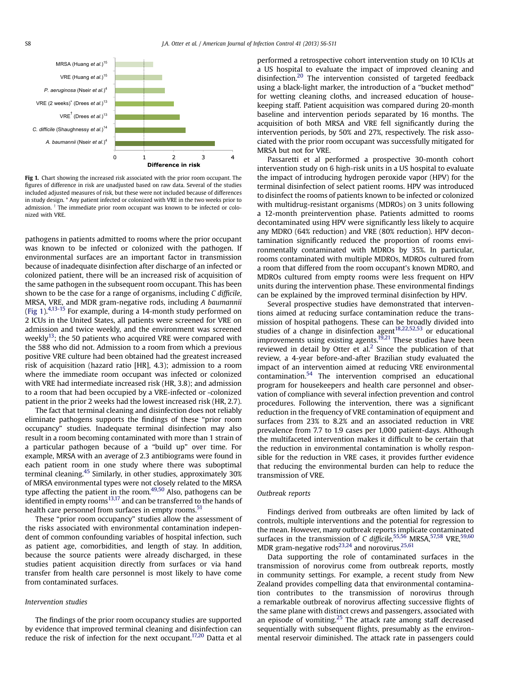

Fig 1. Chart showing the increased risk associated with the prior room occupant. The figures of difference in risk are unadjusted based on raw data. Several of the studies included adjusted measures of risk, but these were not included because of differences in study design. \* Any patient infected or colonized with VRE in the two weeks prior to admission.<sup>†</sup> The immediate prior room occupant was known to be infected or colonized with VRE.

pathogens in patients admitted to rooms where the prior occupant was known to be infected or colonized with the pathogen. If environmental surfaces are an important factor in transmission because of inadequate disinfection after discharge of an infected or colonized patient, there will be an increased risk of acquisition of the same pathogen in the subsequent room occupant. This has been shown to be the case for a range of organisms, including C difficile, MRSA, VRE, and MDR gram-negative rods, including A baumannii (Fig 1).<sup>[4,13-15](#page-3-0)</sup> For example, during a 14-month study performed on 2 ICUs in the United States, all patients were screened for VRE on admission and twice weekly, and the environment was screened weekly<sup>13</sup>; the 50 patients who acquired VRE were compared with the 588 who did not. Admission to a room from which a previous positive VRE culture had been obtained had the greatest increased risk of acquisition (hazard ratio [HR], 4.3); admission to a room where the immediate room occupant was infected or colonized with VRE had intermediate increased risk (HR, 3.8); and admission to a room that had been occupied by a VRE-infected or -colonized patient in the prior 2 weeks had the lowest increased risk (HR, 2.7).

The fact that terminal cleaning and disinfection does not reliably eliminate pathogens supports the findings of these "prior room occupancy" studies. Inadequate terminal disinfection may also result in a room becoming contaminated with more than 1 strain of a particular pathogen because of a "build up" over time. For example, MRSA with an average of 2.3 antibiograms were found in each patient room in one study where there was suboptimal terminal cleaning.<sup>45</sup> Similarly, in other studies, approximately 30% of MRSA environmental types were not closely related to the MRSA type affecting the patient in the room.<sup>[49,50](#page-4-0)</sup> Also, pathogens can be identified in empty rooms<sup>[13,17](#page-4-0)</sup> and can be transferred to the hands of health care personnel from surfaces in empty rooms.<sup>51</sup>

These "prior room occupancy" studies allow the assessment of the risks associated with environmental contamination independent of common confounding variables of hospital infection, such as patient age, comorbidities, and length of stay. In addition, because the source patients were already discharged, in these studies patient acquisition directly from surfaces or via hand transfer from health care personnel is most likely to have come from contaminated surfaces.

## Intervention studies

The findings of the prior room occupancy studies are supported by evidence that improved terminal cleaning and disinfection can reduce the risk of infection for the next occupant.<sup>17,20</sup> Datta et al

performed a retrospective cohort intervention study on 10 ICUs at a US hospital to evaluate the impact of improved cleaning and disinfection.<sup>20</sup> The intervention consisted of targeted feedback using a black-light marker, the introduction of a "bucket method" for wetting cleaning cloths, and increased education of housekeeping staff. Patient acquisition was compared during 20-month baseline and intervention periods separated by 16 months. The acquisition of both MRSA and VRE fell significantly during the intervention periods, by 50% and 27%, respectively. The risk associated with the prior room occupant was successfully mitigated for MRSA but not for VRE.

Passaretti et al performed a prospective 30-month cohort intervention study on 6 high-risk units in a US hospital to evaluate the impact of introducing hydrogen peroxide vapor (HPV) for the terminal disinfection of select patient rooms. HPV was introduced to disinfect the rooms of patients known to be infected or colonized with multidrug-resistant organisms (MDROs) on 3 units following a 12-month preintervention phase. Patients admitted to rooms decontaminated using HPV were significantly less likely to acquire any MDRO (64% reduction) and VRE (80% reduction). HPV decontamination significantly reduced the proportion of rooms environmentally contaminated with MDROs by 35%. In particular, rooms contaminated with multiple MDROs, MDROs cultured from a room that differed from the room occupant's known MDRO, and MDROs cultured from empty rooms were less frequent on HPV units during the intervention phase. These environmental findings can be explained by the improved terminal disinfection by HPV.

Several prospective studies have demonstrated that interventions aimed at reducing surface contamination reduce the transmission of hospital pathogens. These can be broadly divided into studies of a change in disinfection agent<sup>[18,22,52,53](#page-4-0)</sup> or educational improvements using existing agents.<sup>19,21</sup> These studies have been reviewed in detail by Otter et al.<sup>[2](#page-3-0)</sup> Since the publication of that review, a 4-year before-and-after Brazilian study evaluated the impact of an intervention aimed at reducing VRE environmental contamination[.54](#page-4-0) The intervention comprised an educational program for housekeepers and health care personnel and observation of compliance with several infection prevention and control procedures. Following the intervention, there was a significant reduction in the frequency of VRE contamination of equipment and surfaces from 23% to 8.2% and an associated reduction in VRE prevalence from 7.7 to 1.9 cases per 1,000 patient-days. Although the multifaceted intervention makes it difficult to be certain that the reduction in environmental contamination is wholly responsible for the reduction in VRE cases, it provides further evidence that reducing the environmental burden can help to reduce the transmission of VRE.

## Outbreak reports

Findings derived from outbreaks are often limited by lack of controls, multiple interventions and the potential for regression to the mean. However, many outbreak reports implicate contaminated surfaces in the transmission of C difficile,  $55,56$  MRSA,  $57,58$  VRE,  $59,60$ MDR gram-negative rods<sup>23,24</sup> and norovirus.<sup>25,61</sup>

Data supporting the role of contaminated surfaces in the transmission of norovirus come from outbreak reports, mostly in community settings. For example, a recent study from New Zealand provides compelling data that environmental contamination contributes to the transmission of norovirus through a remarkable outbreak of norovirus affecting successive flights of the same plane with distinct crews and passengers, associated with an episode of vomiting.<sup>[25](#page-4-0)</sup> The attack rate among staff decreased sequentially with subsequent flights, presumably as the environmental reservoir diminished. The attack rate in passengers could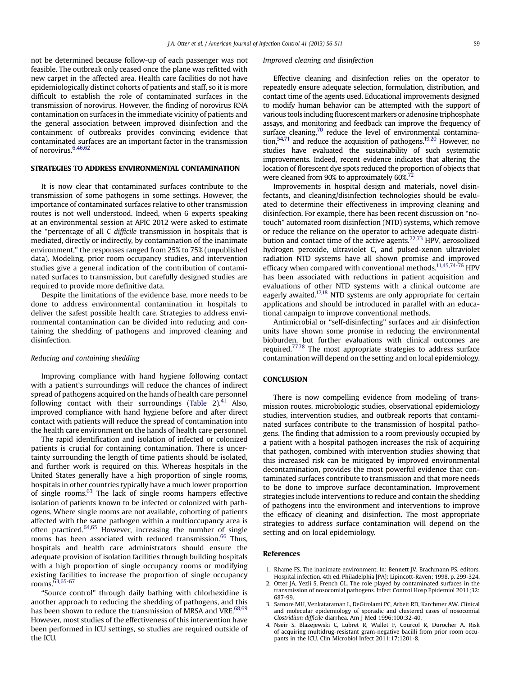<span id="page-3-0"></span>not be determined because follow-up of each passenger was not feasible. The outbreak only ceased once the plane was refitted with new carpet in the affected area. Health care facilities do not have epidemiologically distinct cohorts of patients and staff, so it is more difficult to establish the role of contaminated surfaces in the transmission of norovirus. However, the finding of norovirus RNA contamination on surfaces in the immediate vicinity of patients and the general association between improved disinfection and the containment of outbreaks provides convincing evidence that contaminated surfaces are an important factor in the transmission of norovirus.<sup>[6,46,62](#page-4-0)</sup>

It is now clear that contaminated surfaces contribute to the transmission of some pathogens in some settings. However, the importance of contaminated surfaces relative to other transmission routes is not well understood. Indeed, when 6 experts speaking at an environmental session at APIC 2012 were asked to estimate the "percentage of all C difficile transmission in hospitals that is mediated, directly or indirectly, by contamination of the inanimate environment," the responses ranged from 25% to 75% (unpublished data). Modeling, prior room occupancy studies, and intervention studies give a general indication of the contribution of contaminated surfaces to transmission, but carefully designed studies are required to provide more definitive data.

Despite the limitations of the evidence base, more needs to be done to address environmental contamination in hospitals to deliver the safest possible health care. Strategies to address environmental contamination can be divided into reducing and containing the shedding of pathogens and improved cleaning and disinfection.

#### Reducing and containing shedding

Improving compliance with hand hygiene following contact with a patient's surroundings will reduce the chances of indirect spread of pathogens acquired on the hands of health care personnel following contact with their surroundings ([Table 2\)](#page-1-0). $41$  Also, improved compliance with hand hygiene before and after direct contact with patients will reduce the spread of contamination into the health care environment on the hands of health care personnel.

The rapid identification and isolation of infected or colonized patients is crucial for containing contamination. There is uncertainty surrounding the length of time patients should be isolated, and further work is required on this. Whereas hospitals in the United States generally have a high proportion of single rooms, hospitals in other countries typically have a much lower proportion of single rooms. $63$  The lack of single rooms hampers effective isolation of patients known to be infected or colonized with pathogens. Where single rooms are not available, cohorting of patients affected with the same pathogen within a multioccupancy area is often practiced.[64,65](#page-5-0) However, increasing the number of single rooms has been associated with reduced transmission.<sup>[66](#page-5-0)</sup> Thus, hospitals and health care administrators should ensure the adequate provision of isolation facilities through building hospitals with a high proportion of single occupancy rooms or modifying existing facilities to increase the proportion of single occupancy rooms.[63,65-67](#page-5-0)

"Source control" through daily bathing with chlorhexidine is another approach to reducing the shedding of pathogens, and this has been shown to reduce the transmission of MRSA and VRE.<sup>[68,69](#page-5-0)</sup> However, most studies of the effectiveness of this intervention have been performed in ICU settings, so studies are required outside of the ICU.

#### Improved cleaning and disinfection

Effective cleaning and disinfection relies on the operator to repeatedly ensure adequate selection, formulation, distribution, and contact time of the agents used. Educational improvements designed to modify human behavior can be attempted with the support of various tools including fluorescent markers or adenosine triphosphate assays, and monitoring and feedback can improve the frequency of surface cleaning, $70$  reduce the level of environmental contamination,  $54,71$  and reduce the acquisition of pathogens.<sup>[19,20](#page-4-0)</sup> However, no studies have evaluated the sustainability of such systematic improvements. Indeed, recent evidence indicates that altering the location of florescent dye spots reduced the proportion of objects that were cleaned from 90% to approximately 60%.<sup>[72](#page-5-0)</sup>

Improvements in hospital design and materials, novel disinfectants, and cleaning/disinfection technologies should be evaluated to determine their effectiveness in improving cleaning and disinfection. For example, there has been recent discussion on "notouch" automated room disinfection (NTD) systems, which remove or reduce the reliance on the operator to achieve adequate distribution and contact time of the active agents.[72,73](#page-5-0) HPV, aerosolized hydrogen peroxide, ultraviolet C, and pulsed-xenon ultraviolet radiation NTD systems have all shown promise and improved efficacy when compared with conventional methods.<sup>[11,45,74-76](#page-4-0)</sup> HPV has been associated with reductions in patient acquisition and evaluations of other NTD systems with a clinical outcome are eagerly awaited.<sup>[17,18](#page-4-0)</sup> NTD systems are only appropriate for certain applications and should be introduced in parallel with an educational campaign to improve conventional methods.

Antimicrobial or "self-disinfecting" surfaces and air disinfection units have shown some promise in reducing the environmental bioburden, but further evaluations with clinical outcomes are required[.77,78](#page-5-0) The most appropriate strategies to address surface contamination will depend on the setting and on local epidemiology.

There is now compelling evidence from modeling of transmission routes, microbiologic studies, observational epidemiology studies, intervention studies, and outbreak reports that contaminated surfaces contribute to the transmission of hospital pathogens. The finding that admission to a room previously occupied by a patient with a hospital pathogen increases the risk of acquiring that pathogen, combined with intervention studies showing that this increased risk can be mitigated by improved environmental decontamination, provides the most powerful evidence that contaminated surfaces contribute to transmission and that more needs to be done to improve surface decontamination. Improvement strategies include interventions to reduce and contain the shedding of pathogens into the environment and interventions to improve the efficacy of cleaning and disinfection. The most appropriate strategies to address surface contamination will depend on the setting and on local epidemiology.

- 1. Rhame FS. The inanimate environment. In: Bennett JV, Brachmann PS, editors. Hospital infection. 4th ed. Philadelphia [PA]: Lipincott-Raven; 1998. p. 299-324.
- 2. Otter JA, Yezli S, French GL. The role played by contaminated surfaces in the transmission of nosocomial pathogens. Infect Control Hosp Epidemiol 2011;32: 687-99.
- 3. Samore MH, Venkataraman L, DeGirolami PC, Arbeit RD, Karchmer AW. Clinical and molecular epidemiology of sporadic and clustered cases of nosocomial Clostridium difficile diarrhea. Am J Med 1996;100:32-40.
- 4. Nseir S, Blazejewski C, Lubret R, Wallet F, Courcol R, Durocher A. Risk of acquiring multidrug-resistant gram-negative bacilli from prior room occupants in the ICU. Clin Microbiol Infect 2011;17:1201-8.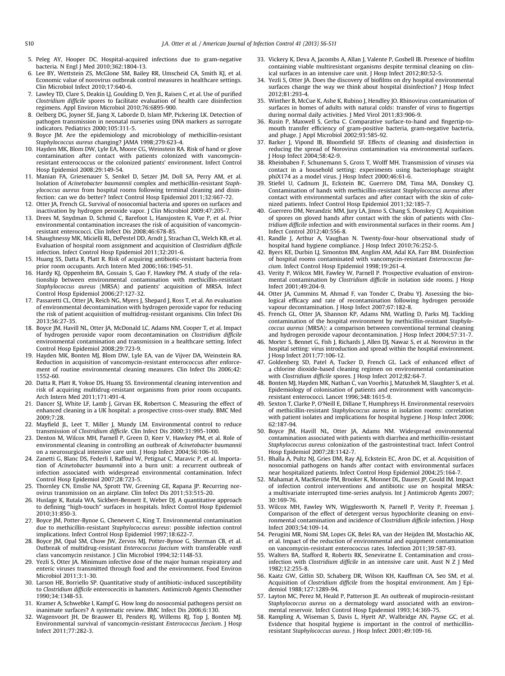- <span id="page-4-0"></span>5. Peleg AY, Hooper DC. Hospital-acquired infections due to gram-negative bacteria. N Engl J Med 2010;362:1804-13.
- 6. Lee BY, Wettstein ZS, McGlone SM, Bailey RR, Umscheid CA, Smith KJ, et al. Economic value of norovirus outbreak control measures in healthcare settings. Clin Microbiol Infect 2010;17:640-6.
- 7. Lawley TD, Clare S, Deakin LJ, Goulding D, Yen JL, Raisen C, et al. Use of purified Clostridium difficile spores to facilitate evaluation of health care disinfection regimens. Appl Environ Microbiol 2010;76:6895-900.
- 8. Oelberg DG, Joyner SE, Jiang X, Laborde D, Islam MP, Pickering LK. Detection of pathogen transmission in neonatal nurseries using DNA markers as surrogate indicators. Pediatrics 2000;105:311-5.
- 9. Boyce JM. Are the epidemiology and microbiology of methicillin-resistant Staphylococcus aureus changing? JAMA 1998;279:623-4.
- 10. Hayden MK, Blom DW, Lyle EA, Moore CG, Weinstein RA. Risk of hand or glove contamination after contact with patients colonized with vancomycinresistant enterococcus or the colonized patients' environment. Infect Control Hosp Epidemiol 2008;29:149-54.
- 11. Manian FA, Griesenauer S, Senkel D, Setzer JM, Doll SA, Perry AM, et al. Isolation of Acinetobacter baumannii complex and methicillin-resistant Staphylococcus aureus from hospital rooms following terminal cleaning and disinfection: can we do better? Infect Control Hosp Epidemiol 2011;32:667-72.
- 12. Otter JA, French GL. Survival of nosocomial bacteria and spores on surfaces and inactivation by hydrogen peroxide vapor. J Clin Microbiol 2009;47:205-7.
- 13. Drees M, Snydman D, Schmid C, Barefoot L, Hansjosten K, Vue P, et al. Prior environmental contamination increases the risk of acquisition of vancomycinresistant enterococci. Clin Infect Dis 2008;46:678-85.
- 14. Shaughnessy MK, Micielli RL, DePestel DD, Arndt J, Strachan CL, Welch KB, et al. Evaluation of hospital room assignment and acquisition of Clostridium difficile infection. Infect Control Hosp Epidemiol 2011;32:201-6.
- 15. Huang SS, Datta R, Platt R. Risk of acquiring antibiotic-resistant bacteria from prior room occupants. Arch Intern Med 2006;166:1945-51.
- 16. Hardy KJ, Oppenheim BA, Gossain S, Gao F, Hawkey PM. A study of the relationship between environmental contamination with methicillin-resistant Staphylococcus aureus (MRSA) and patients' acquisition of MRSA. Infect Control Hosp Epidemiol 2006;27:127-32.
- 17. Passaretti CL, Otter JA, Reich NG, Myers J, Shepard J, Ross T, et al. An evaluation of environmental decontamination with hydrogen peroxide vapor for reducing the risk of patient acquisition of multidrug-resistant organisms. Clin Infect Dis 2013;56:27-35.
- 18. Boyce JM, Havill NL, Otter JA, McDonald LC, Adams NM, Cooper T, et al. Impact of hydrogen peroxide vapor room decontamination on Clostridium difficile environmental contamination and transmission in a healthcare setting. Infect Control Hosp Epidemiol 2008;29:723-9.
- 19. Hayden MK, Bonten MJ, Blom DW, Lyle EA, van de Vijver DA, Weinstein RA. Reduction in acquisition of vancomycin-resistant enterococcus after enforcement of routine environmental cleaning measures. Clin Infect Dis 2006;42: 1552-60.
- 20. Datta R, Platt R, Yokoe DS, Huang SS. Environmental cleaning intervention and risk of acquiring multidrug-resistant organisms from prior room occupants. Arch Intern Med 2011;171:491-4.
- 21. Dancer SJ, White LF, Lamb J, Girvan EK, Robertson C. Measuring the effect of enhanced cleaning in a UK hospital: a prospective cross-over study. BMC Med 2009;7:28.
- 22. Mayfield JL, Leet T, Miller J, Mundy LM. Environmental control to reduce transmission of Clostridium difficile. Clin Infect Dis 2000;31:995-1000.
- 23. Denton M, Wilcox MH, Parnell P, Green D, Keer V, Hawkey PM, et al. Role of environmental cleaning in controlling an outbreak of Acinetobacter baumannii on a neurosurgical intensive care unit. J Hosp Infect 2004;56:106-10.
- 24. Zanetti G, Blanc DS, Federli I, Raffoul W, Petignat C, Maravic P, et al. Importation of Acinetobacter baumannii into a burn unit: a recurrent outbreak of infection associated with widespread environmental contamination. Infect Control Hosp Epidemiol 2007;28:723-5.
- 25. Thornley CN, Emslie NA, Sprott TW, Greening GE, Rapana JP. Recurring norovirus transmission on an airplane. Clin Infect Dis 2011;53:515-20.
- 26. Huslage K, Rutala WA, Sickbert-Bennett E, Weber DJ. A quantitative approach to defining "high-touch" surfaces in hospitals. Infect Control Hosp Epidemiol 2010;31:850-3.
- 27. Boyce JM, Potter-Bynoe G, Chenevert C, King T. Environmental contamination due to methicillin-resistant Staphylococcus aureus: possible infection control implications. Infect Control Hosp Epidemiol 1997;18:622-7.
- 28. Boyce JM, Opal SM, Chow JW, Zervos MJ, Potter-Bynoe G, Sherman CB, et al. Outbreak of multidrug-resistant Enterococcus faecium with transferable vanB class vancomycin resistance. J Clin Microbiol 1994;32:1148-53.
- 29. Yezli S, Otter JA. Minimum infective dose of the major human respiratory and enteric viruses transmitted through food and the environment. Food Environ Microbiol 2011:3:1-30.
- 30. Larson HE, Borriello SP. Quantitative study of antibiotic-induced susceptibility to Clostridium difficile enterocecitis in hamsters. Antimicrob Agents Chemother 1990;34:1348-53.
- 31. Kramer A, Schwebke I, Kampf G. How long do nosocomial pathogens persist on inanimate surfaces? A systematic review. BMC Infect Dis 2006;6:130.
- 32. Wagenvoort JH, De Brauwer EI, Penders RJ, Willems RJ, Top J, Bonten MJ. Environmental survival of vancomycin-resistant Enterococcus faecium. J Hosp Infect 2011;77:282-3.
- 33. Vickery K, Deva A, Jacombs A, Allan J, Valente P, Gosbell IB. Presence of biofilm containing viable multiresistant organisms despite terminal cleaning on clinical surfaces in an intensive care unit. J Hosp Infect 2012;80:52-5.
- 34. Yezli S, Otter JA. Does the discovery of biofilms on dry hospital environmental surfaces change the way we think about hospital disinfection? J Hosp Infect 2012;81:293-4.
- 35. Winther B, McCue K, Ashe K, Rubino J, Hendley JO. Rhinovirus contamination of surfaces in homes of adults with natural colds: transfer of virus to fingertips during normal daily activities. J Med Virol 2011;83:906-9.
- 36. Rusin P, Maxwell S, Gerba C. Comparative surface-to-hand and fingertip-tomouth transfer efficiency of gram-positive bacteria, gram-negative bacteria, and phage. J Appl Microbiol 2002;93:585-92.
- 37. Barker J, Vipond IB, Bloomfield SF. Effects of cleaning and disinfection in reducing the spread of Norovirus contamination via environmental surfaces. J Hosp Infect 2004;58:42-9.
- 38. Rheinbaben F, Schunemann S, Gross T, Wolff MH. Transmission of viruses via contact in a household setting: experiments using bacteriophage straight phiX174 as a model virus. J Hosp Infect 2000;46:61-6.
- 39. Stiefel U, Cadnum JL, Eckstein BC, Guerrero DM, Tima MA, Donskey CJ. Contamination of hands with methicillin-resistant Staphylococcus aureus after contact with environmental surfaces and after contact with the skin of colonized patients. Infect Control Hosp Epidemiol 2011;32:185-7.
- 40. Guerrero DM, Nerandzic MM, Jury LA, Jinno S, Chang S, Donskey CJ. Acquisition of spores on gloved hands after contact with the skin of patients with Clostridium difficile infection and with environmental surfaces in their rooms. Am J Infect Control 2012;40:556-8.
- 41. Randle J, Arthur A, Vaughan N. Twenty-four-hour observational study of hospital hand hygiene compliance. J Hosp Infect 2010;76:252-5.
- 42. Byers KE, Durbin LJ, Simonton BM, Anglim AM, Adal KA, Farr BM. Disinfection of hospital rooms contaminated with vancomycin-resistant Enterococcus faecium. Infect Control Hosp Epidemiol 1998;19:261-4.
- 43. Verity P, Wilcox MH, Fawley W, Parnell P. Prospective evaluation of environmental contamination by Clostridium difficile in isolation side rooms. J Hosp Infect 2001;49:204-9.
- 44. Otter JA, Cummins M, Ahmad F, van Tonder C, Drabu YJ. Assessing the biological efficacy and rate of recontamination following hydrogen peroxide vapour decontamination. J Hosp Infect 2007;67:182-8.
- 45. French GL, Otter JA, Shannon KP, Adams NM, Watling D, Parks MJ. Tackling contamination of the hospital environment by methicillin-resistant Staphylococcus aureus (MRSA): a comparison between conventional terminal cleaning and hydrogen peroxide vapour decontamination. J Hosp Infect 2004;57:31-7.
- 46. Morter S, Bennet G, Fish J, Richards J, Allen DJ, Nawaz S, et al. Norovirus in the hospital setting: virus introduction and spread within the hospital environment. J Hosp Infect 2011;77:106-12.
- 47. Goldenberg SD, Patel A, Tucker D, French GL. Lack of enhanced effect of a chlorine dioxide-based cleaning regimen on environmental contamination with Clostridium difficile spores. J Hosp Infect 2012;82:64-7.
- 48. Bonten MJ, Hayden MK, Nathan C, van Voorhis J, Matushek M, Slaughter S, et al. Epidemiology of colonisation of patients and environment with vancomycinresistant enterococci. Lancet 1996;348:1615-9.
- 49. Sexton T, Clarke P, O'Neill E, Dillane T, Humphreys H. Environmental reservoirs of methicillin-resistant Staphylococcus aureus in isolation rooms: correlation with patient isolates and implications for hospital hygiene. J Hosp Infect 2006; 62:187-94.
- 50. Boyce JM, Havill NL, Otter JA, Adams NM. Widespread environmental contamination associated with patients with diarrhea and methicillin-resistant Staphylococcus aureus colonization of the gastrointestinal tract. Infect Control Hosp Epidemiol 2007;28:1142-7.
- 51. Bhalla A, Pultz NJ, Gries DM, Ray AJ, Eckstein EC, Aron DC, et al. Acquisition of nosocomial pathogens on hands after contact with environmental surfaces near hospitalized patients. Infect Control Hosp Epidemiol 2004;25:164-7.
- 52. Mahamat A, MacKenzie FM, Brooker K, Monnet DL, Daures JP, Gould IM. Impact of infection control interventions and antibiotic use on hospital MRSA: a multivariate interrupted time-series analysis. Int J Antimicrob Agents 2007; 30:169-76.
- 53. Wilcox MH, Fawley WN, Wigglesworth N, Parnell P, Verity P, Freeman J. Comparison of the effect of detergent versus hypochlorite cleaning on environmental contamination and incidence of Clostridium difficile infection. J Hosp Infect 2003;54:109-14.
- 54. Perugini MR, Nomi SM, Lopes GK, Belei RA, van der Heijden IM, Mostachio AK, et al. Impact of the reduction of environmental and equipment contamination on vancomycin-resistant enterococcus rates. Infection 2011;39:587-93.
- 55. Walters BA, Stafford R, Roberts RK, Seneviratne E. Contamination and crossinfection with Clostridium difficile in an intensive care unit. Aust N Z J Med 1982;12:255-8.
- 56. Kaatz GW, Gitlin SD, Schaberg DR, Wilson KH, Kauffman CA, Seo SM, et al. Acquisition of Clostridium difficile from the hospital environment. Am J Epidemiol 1988;127:1289-94.
- 57. Layton MC, Perez M, Heald P, Patterson JE. An outbreak of mupirocin-resistant Staphylococcus aureus on a dermatology ward associated with an environmental reservoir. Infect Control Hosp Epidemiol 1993;14:369-75.
- Rampling A, Wiseman S, Davis L, Hyett AP, Walbridge AN, Payne GC, et al. Evidence that hospital hygiene is important in the control of methicillinresistant Staphylococcus aureus. J Hosp Infect 2001;49:109-16.